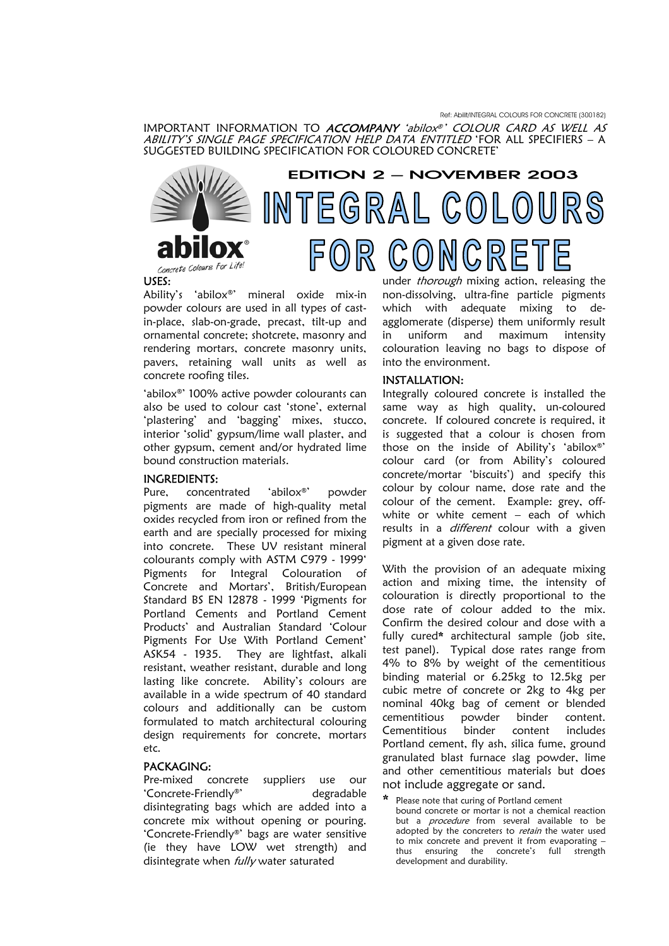IMPORTANT INFORMATION TO *ACCOMPANY 'abilox®' COLOUR CARD AS WELL AS ABILITY'S SINGLE PAGE SPECIFICATION HELP DATA ENTITLED* 'FOR ALL SPECIFIERS – A SUGGESTED BUILDING SPECIFICATION FOR COLOURED CONCRETE'



# EDITION 2 – NOVEMBER 2003 INTEGRAL COLOURS CONCRETE  $\mathsf{R}$

## USES:

Concrete

Ability's 'abilox®' mineral oxide mix-in powder colours are used in all types of castin-place, slab-on-grade, precast, tilt-up and ornamental concrete; shotcrete, masonry and rendering mortars, concrete masonry units, pavers, retaining wall units as well as concrete roofing tiles.

'abilox®' 100% active powder colourants can also be used to colour cast 'stone', external 'plastering' and 'bagging' mixes, stucco, interior 'solid' gypsum/lime wall plaster, and other gypsum, cement and/or hydrated lime bound construction materials.

#### INGREDIENTS:

Pure, concentrated 'abilox®' powder pigments are made of high-quality metal oxides recycled from iron or refined from the earth and are specially processed for mixing into concrete. These UV resistant mineral colourants comply with ASTM C979 - 1999' Pigments for Integral Colouration of Concrete and Mortars', British/European Standard BS EN 12878 - 1999 'Pigments for Portland Cements and Portland Cement Products' and Australian Standard 'Colour Pigments For Use With Portland Cement' ASK54 - 1935. They are lightfast, alkali resistant, weather resistant, durable and long lasting like concrete. Ability's colours are available in a wide spectrum of 40 standard colours and additionally can be custom formulated to match architectural colouring design requirements for concrete, mortars etc.

#### PACKAGING:

Pre-mixed concrete suppliers use our 'Concrete-Friendly®' degradable disintegrating bags which are added into a concrete mix without opening or pouring. 'Concrete-Friendly®' bags are water sensitive (ie they have LOW wet strength) and disintegrate when *fully* water saturated

under *thorough* mixing action, releasing the non-dissolving, ultra-fine particle pigments which with adequate mixing to deagglomerate (disperse) them uniformly result in uniform and maximum intensity colouration leaving no bags to dispose of into the environment.

#### INSTALLATION:

Integrally coloured concrete is installed the same way as high quality, un-coloured concrete. If coloured concrete is required, it is suggested that a colour is chosen from those on the inside of Ability's 'abilox®' colour card (or from Ability's coloured concrete/mortar 'biscuits') and specify this colour by colour name, dose rate and the colour of the cement. Example: grey, offwhite or white cement – each of which results in a *different* colour with a given pigment at a given dose rate.

With the provision of an adequate mixing action and mixing time, the intensity of colouration is directly proportional to the dose rate of colour added to the mix. Confirm the desired colour and dose with a fully cured\* architectural sample (job site, test panel). Typical dose rates range from 4% to 8% by weight of the cementitious binding material or 6.25kg to 12.5kg per cubic metre of concrete or 2kg to 4kg per nominal 40kg bag of cement or blended cementitious powder binder content. Cementitious binder content includes Portland cement, fly ash, silica fume, ground granulated blast furnace slag powder, lime and other cementitious materials but does not include aggregate or sand.

Please note that curing of Portland cement bound concrete or mortar is not a chemical reaction but a *procedure* from several available to be adopted by the concreters to retain the water used to mix concrete and prevent it from evaporating – thus ensuring the concrete's full strength development and durability.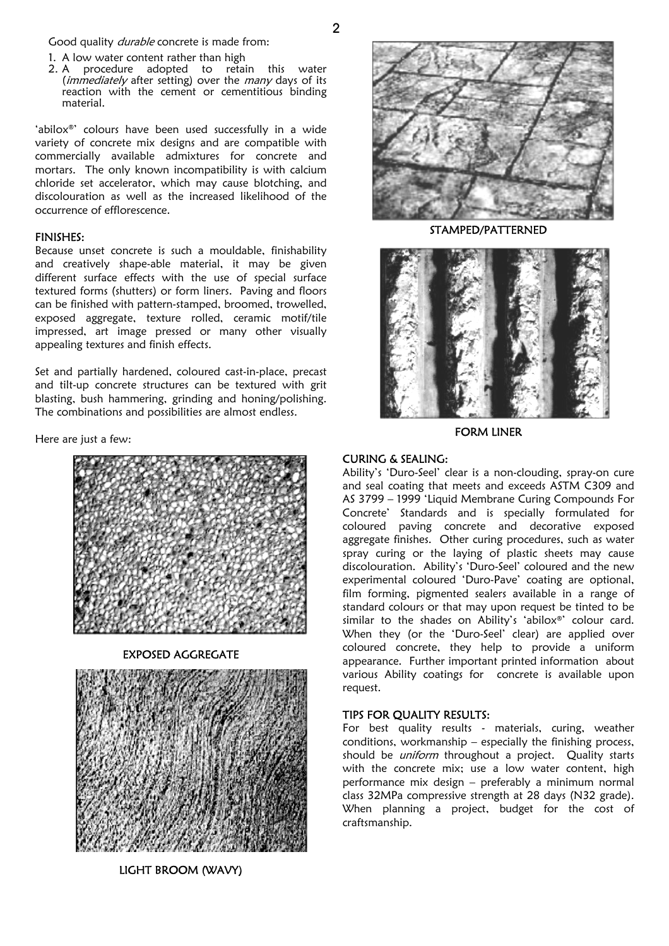Good quality *durable* concrete is made from:

- 1. A low water content rather than high
- 2. A procedure adopted to retain this water (immediately after setting) over the many days of its reaction with the cement or cementitious binding material.

'abilox®' colours have been used successfully in a wide variety of concrete mix designs and are compatible with commercially available admixtures for concrete and mortars. The only known incompatibility is with calcium chloride set accelerator, which may cause blotching, and discolouration as well as the increased likelihood of the occurrence of efflorescence.

## FINISHES:

Because unset concrete is such a mouldable, finishability and creatively shape-able material, it may be given different surface effects with the use of special surface textured forms (shutters) or form liners. Paving and floors can be finished with pattern-stamped, broomed, trowelled, exposed aggregate, texture rolled, ceramic motif/tile impressed, art image pressed or many other visually appealing textures and finish effects.

Set and partially hardened, coloured cast-in-place, precast and tilt-up concrete structures can be textured with grit blasting, bush hammering, grinding and honing/polishing. The combinations and possibilities are almost endless.

Here are just a few:



EXPOSED AGGREGATE



LIGHT BROOM (WAVY)

 $\mathfrak{p}$ 



STAMPED/PATTERNED



FORM LINER

## CURING & SEALING:

Ability's 'Duro-Seel' clear is a non-clouding, spray-on cure and seal coating that meets and exceeds ASTM C309 and AS 3799 – 1999 'Liquid Membrane Curing Compounds For Concrete' Standards and is specially formulated for coloured paving concrete and decorative exposed aggregate finishes. Other curing procedures, such as water spray curing or the laying of plastic sheets may cause discolouration. Ability's 'Duro-Seel' coloured and the new experimental coloured 'Duro-Pave' coating are optional, film forming, pigmented sealers available in a range of standard colours or that may upon request be tinted to be similar to the shades on Ability's 'abilox®' colour card. When they (or the 'Duro-Seel' clear) are applied over coloured concrete, they help to provide a uniform appearance. Further important printed information about various Ability coatings for concrete is available upon request.

# TIPS FOR QUALITY RESULTS:

For best quality results - materials, curing, weather conditions, workmanship – especially the finishing process, should be *uniform* throughout a project. Quality starts with the concrete mix; use a low water content, high performance mix design – preferably a minimum normal class 32MPa compressive strength at 28 days (N32 grade). When planning a project, budget for the cost of craftsmanship.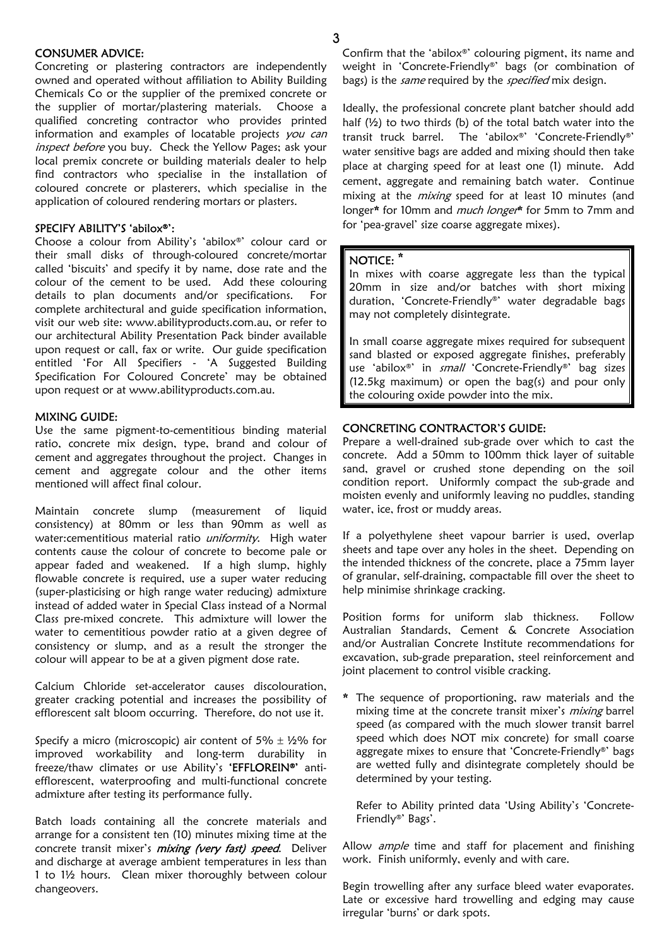## CONSUMER ADVICE:

Concreting or plastering contractors are independently owned and operated without affiliation to Ability Building Chemicals Co or the supplier of the premixed concrete or the supplier of mortar/plastering materials. Choose a qualified concreting contractor who provides printed information and examples of locatable projects you can inspect before you buy. Check the Yellow Pages; ask your local premix concrete or building materials dealer to help find contractors who specialise in the installation of coloured concrete or plasterers, which specialise in the application of coloured rendering mortars or plasters.

# SPECIFY ABILITY'S 'abilox®':

Choose a colour from Ability's 'abilox®' colour card or their small disks of through-coloured concrete/mortar called 'biscuits' and specify it by name, dose rate and the colour of the cement to be used. Add these colouring details to plan documents and/or specifications. For complete architectural and guide specification information, visit our web site: [www.abilityproducts.com.au,](http://www.abilityproducts.com.au/) or refer to our architectural Ability Presentation Pack binder available upon request or call, fax or write. Our guide specification entitled 'For All Specifiers - 'A Suggested Building Specification For Coloured Concrete' may be obtained upon request or at [www.abilityproducts.com.au.](http://www.abilityproducts.com.au/)

## MIXING GUIDE:

Use the same pigment-to-cementitious binding material ratio, concrete mix design, type, brand and colour of cement and aggregates throughout the project. Changes in cement and aggregate colour and the other items mentioned will affect final colour.

Maintain concrete slump (measurement of liquid consistency) at 80mm or less than 90mm as well as water: cementitious material ratio *uniformity*. High water contents cause the colour of concrete to become pale or appear faded and weakened. If a high slump, highly flowable concrete is required, use a super water reducing (super-plasticising or high range water reducing) admixture instead of added water in Special Class instead of a Normal Class pre-mixed concrete. This admixture will lower the water to cementitious powder ratio at a given degree of consistency or slump, and as a result the stronger the colour will appear to be at a given pigment dose rate.

Calcium Chloride set-accelerator causes discolouration, greater cracking potential and increases the possibility of efflorescent salt bloom occurring. Therefore, do not use it.

Specify a micro (microscopic) air content of 5%  $\pm$  1/2% for improved workability and long-term durability in freeze/thaw climates or use Ability's 'EFFLOREIN®' antiefflorescent, waterproofing and multi-functional concrete admixture after testing its performance fully.

Batch loads containing all the concrete materials and arrange for a consistent ten (10) minutes mixing time at the concrete transit mixer's *mixing (very fast) speed*. Deliver and discharge at average ambient temperatures in less than 1 to 1½ hours. Clean mixer thoroughly between colour changeovers.

Confirm that the 'abilox®' colouring pigment, its name and weight in 'Concrete-Friendly®' bags (or combination of bags) is the same required by the specified mix design.

Ideally, the professional concrete plant batcher should add half (½) to two thirds (b) of the total batch water into the transit truck barrel. The 'abilox®' 'Concrete-Friendly®' water sensitive bags are added and mixing should then take place at charging speed for at least one (1) minute. Add cement, aggregate and remaining batch water. Continue mixing at the *mixing* speed for at least 10 minutes (and longer\* for 10mm and much longer\* for 5mm to 7mm and for 'pea-gravel' size coarse aggregate mixes).

## NOTICE: \*

In mixes with coarse aggregate less than the typical 20mm in size and/or batches with short mixing duration, 'Concrete-Friendly®' water degradable bags may not completely disintegrate.

In small coarse aggregate mixes required for subsequent sand blasted or exposed aggregate finishes, preferably use 'abilox®' in small 'Concrete-Friendly®' bag sizes (12.5kg maximum) or open the bag(s) and pour only the colouring oxide powder into the mix.

## CONCRETING CONTRACTOR'S GUIDE:

Prepare a well-drained sub-grade over which to cast the concrete. Add a 50mm to 100mm thick layer of suitable sand, gravel or crushed stone depending on the soil condition report. Uniformly compact the sub-grade and moisten evenly and uniformly leaving no puddles, standing water, ice, frost or muddy areas.

If a polyethylene sheet vapour barrier is used, overlap sheets and tape over any holes in the sheet. Depending on the intended thickness of the concrete, place a 75mm layer of granular, self-draining, compactable fill over the sheet to help minimise shrinkage cracking.

Position forms for uniform slab thickness. Follow Australian Standards, Cement & Concrete Association and/or Australian Concrete Institute recommendations for excavation, sub-grade preparation, steel reinforcement and joint placement to control visible cracking.

\* The sequence of proportioning, raw materials and the mixing time at the concrete transit mixer's mixing barrel speed (as compared with the much slower transit barrel speed which does NOT mix concrete) for small coarse aggregate mixes to ensure that 'Concrete-Friendly®' bags are wetted fully and disintegrate completely should be determined by your testing.

Refer to Ability printed data 'Using Ability's 'Concrete-Friendly®' Bags'.

Allow *ample* time and staff for placement and finishing work. Finish uniformly, evenly and with care.

Begin trowelling after any surface bleed water evaporates. Late or excessive hard trowelling and edging may cause irregular 'burns' or dark spots.